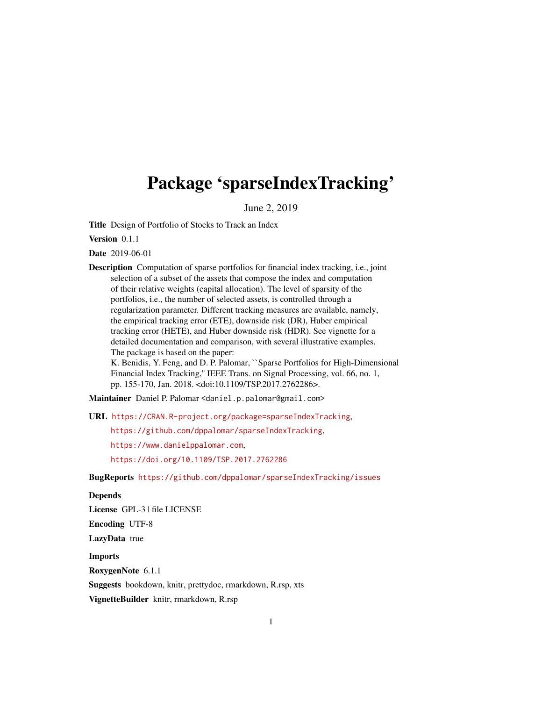## Package 'sparseIndexTracking'

June 2, 2019

Title Design of Portfolio of Stocks to Track an Index

Version 0.1.1

Date 2019-06-01

Description Computation of sparse portfolios for financial index tracking, i.e., joint selection of a subset of the assets that compose the index and computation of their relative weights (capital allocation). The level of sparsity of the portfolios, i.e., the number of selected assets, is controlled through a regularization parameter. Different tracking measures are available, namely, the empirical tracking error (ETE), downside risk (DR), Huber empirical tracking error (HETE), and Huber downside risk (HDR). See vignette for a detailed documentation and comparison, with several illustrative examples. The package is based on the paper: K. Benidis, Y. Feng, and D. P. Palomar, ``Sparse Portfolios for High-Dimensional

Financial Index Tracking,'' IEEE Trans. on Signal Processing, vol. 66, no. 1, pp. 155-170, Jan. 2018. <doi:10.1109/TSP.2017.2762286>.

Maintainer Daniel P. Palomar <daniel.p.palomar@gmail.com>

URL <https://CRAN.R-project.org/package=sparseIndexTracking>,

<https://github.com/dppalomar/sparseIndexTracking>,

<https://www.danielppalomar.com>,

<https://doi.org/10.1109/TSP.2017.2762286>

BugReports <https://github.com/dppalomar/sparseIndexTracking/issues>

#### Depends

License GPL-3 | file LICENSE Encoding UTF-8 LazyData true Imports RoxygenNote 6.1.1 Suggests bookdown, knitr, prettydoc, rmarkdown, R.rsp, xts

VignetteBuilder knitr, rmarkdown, R.rsp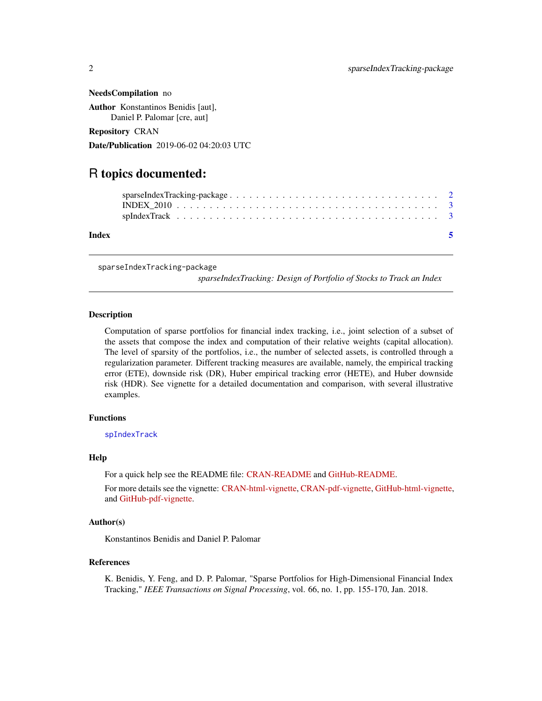<span id="page-1-0"></span>NeedsCompilation no Author Konstantinos Benidis [aut],

Daniel P. Palomar [cre, aut]

Repository CRAN

Date/Publication 2019-06-02 04:20:03 UTC

### R topics documented:

sparseIndexTracking-package

*sparseIndexTracking: Design of Portfolio of Stocks to Track an Index*

#### Description

Computation of sparse portfolios for financial index tracking, i.e., joint selection of a subset of the assets that compose the index and computation of their relative weights (capital allocation). The level of sparsity of the portfolios, i.e., the number of selected assets, is controlled through a regularization parameter. Different tracking measures are available, namely, the empirical tracking error (ETE), downside risk (DR), Huber empirical tracking error (HETE), and Huber downside risk (HDR). See vignette for a detailed documentation and comparison, with several illustrative examples.

#### Functions

[spIndexTrack](#page-2-1)

#### Help

For a quick help see the README file: [CRAN-README](https://CRAN.R-project.org/package=sparseIndexTracking/readme/README.html) and [GitHub-README.](https://github.com/dppalomar/sparseIndexTracking/blob/master/README.md)

For more details see the vignette: [CRAN-html-vignette,](https://CRAN.R-project.org/package=sparseIndexTracking/vignettes/SparseIndexTracking.html) [CRAN-pdf-vignette,](https://CRAN.R-project.org/package=sparseIndexTracking/vignettes/SparseIndexTracking-pdf.pdf) [GitHub-html-vignette,](https://raw.githack.com/dppalomar/sparseIndexTracking/master/vignettes/SparseIndexTracking.html) and [GitHub-pdf-vignette.](https://docs.google.com/viewer?url=https://github.com/dppalomar/sparseIndexTracking/raw/master/vignettes/SparseIndexTracking-pdf.pdf)

#### Author(s)

Konstantinos Benidis and Daniel P. Palomar

#### References

K. Benidis, Y. Feng, and D. P. Palomar, "Sparse Portfolios for High-Dimensional Financial Index Tracking," *IEEE Transactions on Signal Processing*, vol. 66, no. 1, pp. 155-170, Jan. 2018.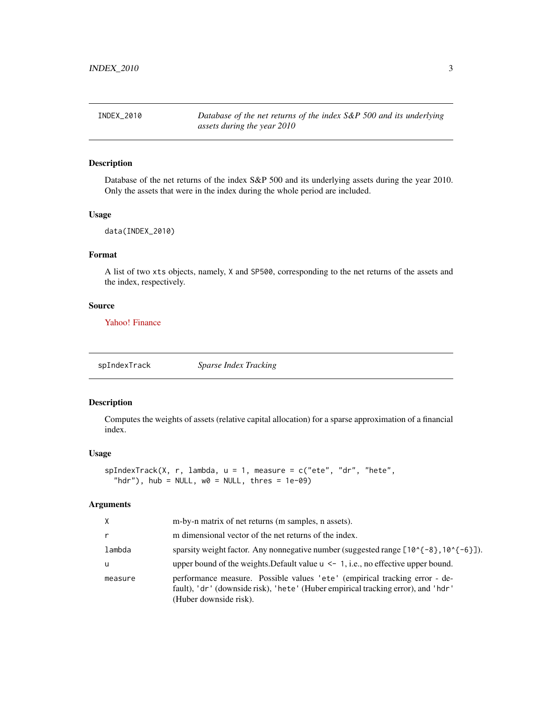<span id="page-2-0"></span>INDEX\_2010 *Database of the net returns of the index S&P 500 and its underlying assets during the year 2010*

#### Description

Database of the net returns of the index S&P 500 and its underlying assets during the year 2010. Only the assets that were in the index during the whole period are included.

#### Usage

```
data(INDEX_2010)
```
#### Format

A list of two xts objects, namely, X and SP500, corresponding to the net returns of the assets and the index, respectively.

#### Source

[Yahoo! Finance](https://finance.yahoo.com)

<span id="page-2-1"></span>spIndexTrack *Sparse Index Tracking*

#### Description

Computes the weights of assets (relative capital allocation) for a sparse approximation of a financial index.

#### Usage

```
spIndexTrack(X, r, lambda, u = 1, measure = c("ete", "dr", "hete",
  "hdr"), hub = NULL, w0 = NULL, thres = 1e-09)
```
#### Arguments

| X            | m-by-n matrix of net returns (m samples, n assets).                                                                                                                                      |
|--------------|------------------------------------------------------------------------------------------------------------------------------------------------------------------------------------------|
| $\mathsf{r}$ | m dimensional vector of the net returns of the index.                                                                                                                                    |
| lambda       | sparsity weight factor. Any nonnegative number (suggested range $[10^{-6} - 8]$ , $10^{-6} - 6]$ ).                                                                                      |
| <b>u</b>     | upper bound of the weights. Default value $u \leq 1$ , i.e., no effective upper bound.                                                                                                   |
| measure      | performance measure. Possible values 'ete' (empirical tracking error - de-<br>fault), 'dr' (downside risk), 'hete' (Huber empirical tracking error), and 'hdr'<br>(Huber downside risk). |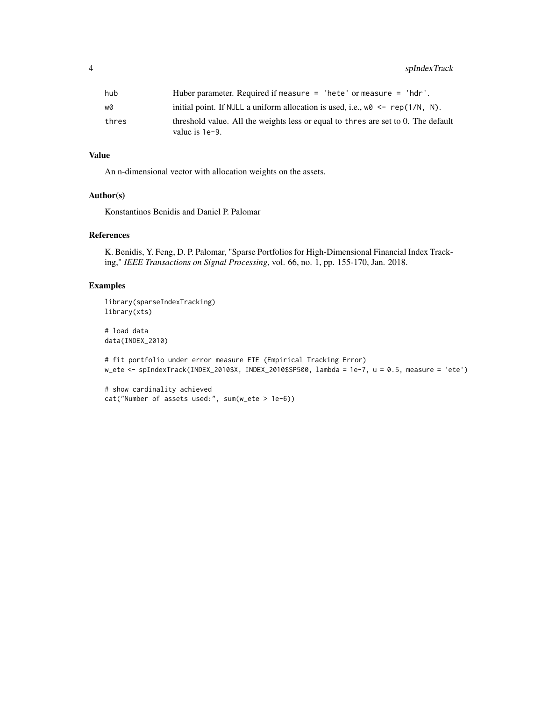| hub   | Huber parameter. Required if measure $=$ 'hete' or measure $=$ 'hdr'.                                  |
|-------|--------------------------------------------------------------------------------------------------------|
| wØ    | initial point. If NULL a uniform allocation is used, i.e., $w0 \leq -\text{rep}(1/N, N)$ .             |
| thres | threshold value. All the weights less or equal to thres are set to 0. The default<br>value is $1e-9$ . |

#### Value

An n-dimensional vector with allocation weights on the assets.

#### Author(s)

Konstantinos Benidis and Daniel P. Palomar

cat("Number of assets used:", sum(w\_ete > 1e-6))

#### References

K. Benidis, Y. Feng, D. P. Palomar, "Sparse Portfolios for High-Dimensional Financial Index Tracking," *IEEE Transactions on Signal Processing*, vol. 66, no. 1, pp. 155-170, Jan. 2018.

#### Examples

```
library(sparseIndexTracking)
library(xts)
# load data
data(INDEX_2010)
# fit portfolio under error measure ETE (Empirical Tracking Error)
w_ete <- spIndexTrack(INDEX_2010$X, INDEX_2010$SP500, lambda = 1e-7, u = 0.5, measure = 'ete')
# show cardinality achieved
```